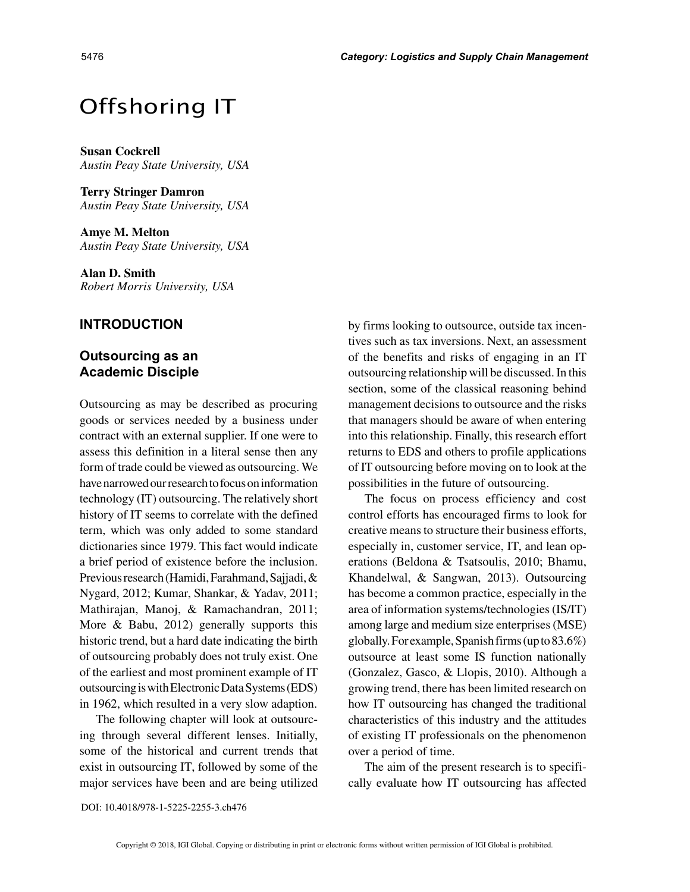# Offshoring IT

**Susan Cockrell** *Austin Peay State University, USA*

**Terry Stringer Damron** *Austin Peay State University, USA*

**Amye M. Melton** *Austin Peay State University, USA*

**Alan D. Smith** *Robert Morris University, USA*

## **INTRODUCTION**

## **Outsourcing as an Academic Disciple**

Outsourcing as may be described as procuring goods or services needed by a business under contract with an external supplier. If one were to assess this definition in a literal sense then any form of trade could be viewed as outsourcing. We have narrowed our research to focus on information technology (IT) outsourcing. The relatively short history of IT seems to correlate with the defined term, which was only added to some standard dictionaries since 1979. This fact would indicate a brief period of existence before the inclusion. Previous research (Hamidi, Farahmand, Sajjadi, & Nygard, 2012; Kumar, Shankar, & Yadav, 2011; Mathirajan, Manoj, & Ramachandran, 2011; More & Babu, 2012) generally supports this historic trend, but a hard date indicating the birth of outsourcing probably does not truly exist. One of the earliest and most prominent example of IT outsourcing is with Electronic Data Systems (EDS) in 1962, which resulted in a very slow adaption.

The following chapter will look at outsourcing through several different lenses. Initially, some of the historical and current trends that exist in outsourcing IT, followed by some of the major services have been and are being utilized

by firms looking to outsource, outside tax incentives such as tax inversions. Next, an assessment of the benefits and risks of engaging in an IT outsourcing relationship will be discussed. In this section, some of the classical reasoning behind management decisions to outsource and the risks that managers should be aware of when entering into this relationship. Finally, this research effort returns to EDS and others to profile applications of IT outsourcing before moving on to look at the possibilities in the future of outsourcing.

The focus on process efficiency and cost control efforts has encouraged firms to look for creative means to structure their business efforts, especially in, customer service, IT, and lean operations (Beldona & Tsatsoulis, 2010; Bhamu, Khandelwal, & Sangwan, 2013). Outsourcing has become a common practice, especially in the area of information systems/technologies (IS/IT) among large and medium size enterprises (MSE) globally. For example, Spanish firms (up to 83.6%) outsource at least some IS function nationally (Gonzalez, Gasco, & Llopis, 2010). Although a growing trend, there has been limited research on how IT outsourcing has changed the traditional characteristics of this industry and the attitudes of existing IT professionals on the phenomenon over a period of time.

The aim of the present research is to specifically evaluate how IT outsourcing has affected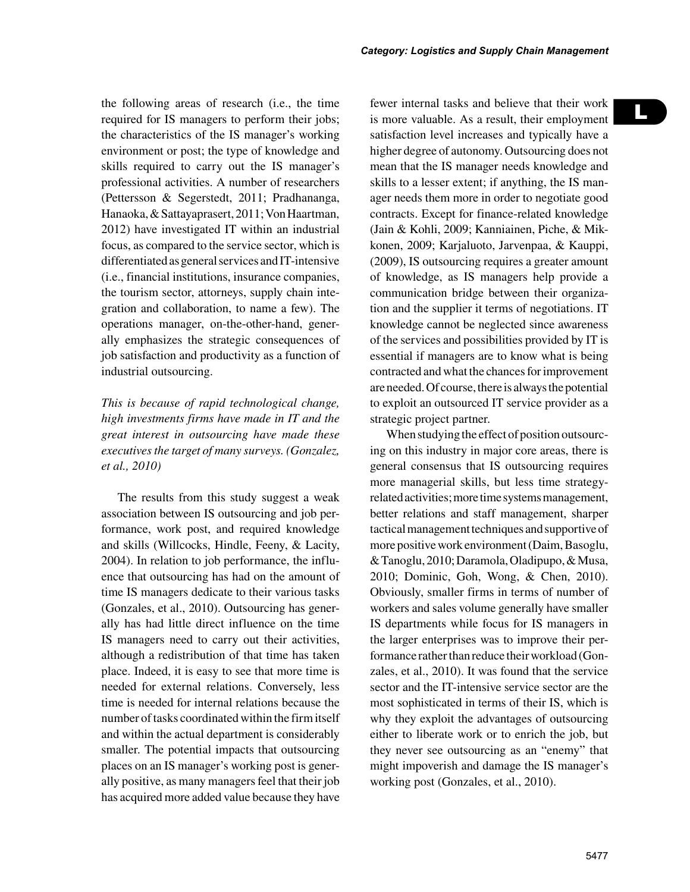the following areas of research (i.e., the time required for IS managers to perform their jobs; the characteristics of the IS manager's working environment or post; the type of knowledge and skills required to carry out the IS manager's professional activities. A number of researchers (Pettersson & Segerstedt, 2011; Pradhananga, Hanaoka, & Sattayaprasert, 2011; Von Haartman, 2012) have investigated IT within an industrial focus, as compared to the service sector, which is differentiated as general services and IT-intensive (i.e., financial institutions, insurance companies, the tourism sector, attorneys, supply chain integration and collaboration, to name a few). The operations manager, on-the-other-hand, generally emphasizes the strategic consequences of job satisfaction and productivity as a function of industrial outsourcing.

*This is because of rapid technological change, high investments firms have made in IT and the great interest in outsourcing have made these executives the target of many surveys. (Gonzalez, et al., 2010)*

The results from this study suggest a weak association between IS outsourcing and job performance, work post, and required knowledge and skills (Willcocks, Hindle, Feeny, & Lacity, 2004). In relation to job performance, the influence that outsourcing has had on the amount of time IS managers dedicate to their various tasks (Gonzales, et al., 2010). Outsourcing has generally has had little direct influence on the time IS managers need to carry out their activities, although a redistribution of that time has taken place. Indeed, it is easy to see that more time is needed for external relations. Conversely, less time is needed for internal relations because the number of tasks coordinated within the firm itself and within the actual department is considerably smaller. The potential impacts that outsourcing places on an IS manager's working post is generally positive, as many managers feel that their job has acquired more added value because they have fewer internal tasks and believe that their work is more valuable. As a result, their employment satisfaction level increases and typically have a higher degree of autonomy. Outsourcing does not mean that the IS manager needs knowledge and skills to a lesser extent; if anything, the IS manager needs them more in order to negotiate good contracts. Except for finance-related knowledge (Jain & Kohli, 2009; Kanniainen, Piche, & Mikkonen, 2009; Karjaluoto, Jarvenpaa, & Kauppi, (2009), IS outsourcing requires a greater amount of knowledge, as IS managers help provide a communication bridge between their organization and the supplier it terms of negotiations. IT knowledge cannot be neglected since awareness of the services and possibilities provided by IT is essential if managers are to know what is being contracted and what the chances for improvement are needed. Of course, there is always the potential to exploit an outsourced IT service provider as a strategic project partner.

When studying the effect of position outsourcing on this industry in major core areas, there is general consensus that IS outsourcing requires more managerial skills, but less time strategyrelated activities; more time systems management, better relations and staff management, sharper tactical management techniques and supportive of more positive work environment (Daim, Basoglu, & Tanoglu, 2010; Daramola, Oladipupo, & Musa, 2010; Dominic, Goh, Wong, & Chen, 2010). Obviously, smaller firms in terms of number of workers and sales volume generally have smaller IS departments while focus for IS managers in the larger enterprises was to improve their performance rather than reduce their workload (Gonzales, et al., 2010). It was found that the service sector and the IT-intensive service sector are the most sophisticated in terms of their IS, which is why they exploit the advantages of outsourcing either to liberate work or to enrich the job, but they never see outsourcing as an "enemy" that might impoverish and damage the IS manager's working post (Gonzales, et al., 2010).

L